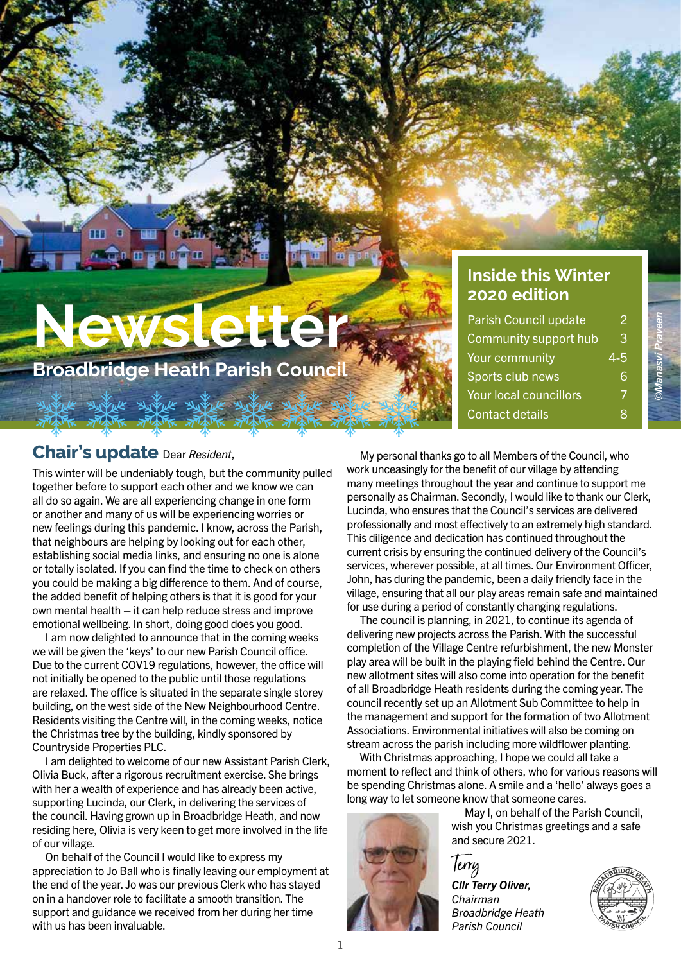# **Newsletter**

**Broadbridge Heath Parish Counci** 

## **Inside this Winter 2020 edition**

| Parish Council update  | 2       |
|------------------------|---------|
| Community support hub  | 3       |
| Your community         | $4 - 5$ |
| Sports club news       | ิค      |
| Your local councillors |         |
| <b>Contact details</b> |         |

*©Manasvi Praveen*

## **Chair's update** Dear *Resident*,

This winter will be undeniably tough, but the community pulled together before to support each other and we know we can all do so again. We are all experiencing change in one form or another and many of us will be experiencing worries or new feelings during this pandemic. I know, across the Parish, that neighbours are helping by looking out for each other, establishing social media links, and ensuring no one is alone or totally isolated. If you can find the time to check on others you could be making a big difference to them. And of course, the added benefit of helping others is that it is good for your own mental health – it can help reduce stress and improve emotional wellbeing. In short, doing good does you good.

I am now delighted to announce that in the coming weeks we will be given the 'keys' to our new Parish Council office. Due to the current COV19 regulations, however, the office will not initially be opened to the public until those regulations are relaxed. The office is situated in the separate single storey building, on the west side of the New Neighbourhood Centre. Residents visiting the Centre will, in the coming weeks, notice the Christmas tree by the building, kindly sponsored by Countryside Properties PLC.

I am delighted to welcome of our new Assistant Parish Clerk, Olivia Buck, after a rigorous recruitment exercise. She brings with her a wealth of experience and has already been active, supporting Lucinda, our Clerk, in delivering the services of the council. Having grown up in Broadbridge Heath, and now residing here, Olivia is very keen to get more involved in the life of our village.

On behalf of the Council I would like to express my appreciation to Jo Ball who is finally leaving our employment at the end of the year. Jo was our previous Clerk who has stayed on in a handover role to facilitate a smooth transition. The support and guidance we received from her during her time with us has been invaluable.

My personal thanks go to all Members of the Council, who work unceasingly for the benefit of our village by attending many meetings throughout the year and continue to support me personally as Chairman. Secondly, I would like to thank our Clerk, Lucinda, who ensures that the Council's services are delivered professionally and most effectively to an extremely high standard. This diligence and dedication has continued throughout the current crisis by ensuring the continued delivery of the Council's services, wherever possible, at all times. Our Environment Officer, John, has during the pandemic, been a daily friendly face in the village, ensuring that all our play areas remain safe and maintained for use during a period of constantly changing regulations.

The council is planning, in 2021, to continue its agenda of delivering new projects across the Parish. With the successful completion of the Village Centre refurbishment, the new Monster play area will be built in the playing field behind the Centre. Our new allotment sites will also come into operation for the benefit of all Broadbridge Heath residents during the coming year. The council recently set up an Allotment Sub Committee to help in the management and support for the formation of two Allotment Associations. Environmental initiatives will also be coming on stream across the parish including more wildflower planting.

With Christmas approaching, I hope we could all take a moment to reflect and think of others, who for various reasons will be spending Christmas alone. A smile and a 'hello' always goes a long way to let someone know that someone cares.



May I, on behalf of the Parish Council, wish you Christmas greetings and a safe and secure 2021.

*Cllr Terry Oliver, Chairman Broadbridge Heath Parish Council*

Terry

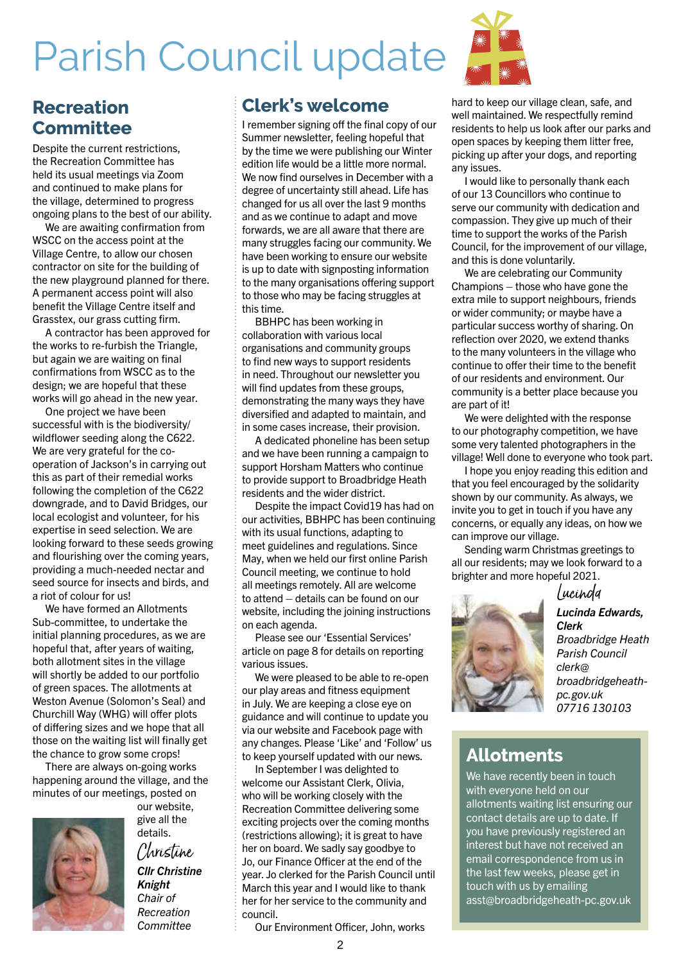## Parish Council update



## **Recreation Committee**

Despite the current restrictions. the Recreation Committee has held its usual meetings via Zoom and continued to make plans for the village, determined to progress ongoing plans to the best of our ability.

We are awaiting confirmation from WSCC on the access point at the Village Centre, to allow our chosen contractor on site for the building of the new playground planned for there. A permanent access point will also benefit the Village Centre itself and Grasstex, our grass cutting firm.

A contractor has been approved for the works to re-furbish the Triangle, but again we are waiting on final confirmations from WSCC as to the design; we are hopeful that these works will go ahead in the new year.

One project we have been successful with is the biodiversity/ wildflower seeding along the C622. We are very grateful for the cooperation of Jackson's in carrying out this as part of their remedial works following the completion of the C622 downgrade, and to David Bridges, our local ecologist and volunteer, for his expertise in seed selection. We are looking forward to these seeds growing and flourishing over the coming years, providing a much-needed nectar and seed source for insects and birds, and a riot of colour for us!

We have formed an Allotments Sub-committee, to undertake the initial planning procedures, as we are hopeful that, after years of waiting, both allotment sites in the village will shortly be added to our portfolio of green spaces. The allotments at Weston Avenue (Solomon's Seal) and Churchill Way (WHG) will offer plots of differing sizes and we hope that all those on the waiting list will finally get the chance to grow some crops!

There are always on-going works happening around the village, and the minutes of our meetings, posted on



our website, give all the details. Christine *Cllr Christine Knight Chair of Recreation Committee*

### **Clerk's welcome**

I remember signing off the final copy of our Summer newsletter, feeling hopeful that by the time we were publishing our Winter edition life would be a little more normal. We now find ourselves in December with a degree of uncertainty still ahead. Life has changed for us all over the last 9 months and as we continue to adapt and move forwards, we are all aware that there are many struggles facing our community. We have been working to ensure our website is up to date with signposting information to the many organisations offering support to those who may be facing struggles at this time.

BBHPC has been working in collaboration with various local organisations and community groups to find new ways to support residents in need. Throughout our newsletter you will find updates from these groups, demonstrating the many ways they have diversified and adapted to maintain, and in some cases increase, their provision.

A dedicated phoneline has been setup and we have been running a campaign to support Horsham Matters who continue to provide support to Broadbridge Heath residents and the wider district.

Despite the impact Covid19 has had on our activities, BBHPC has been continuing with its usual functions, adapting to meet guidelines and regulations. Since May, when we held our first online Parish Council meeting, we continue to hold all meetings remotely. All are welcome to attend – details can be found on our website, including the joining instructions on each agenda.

Please see our 'Essential Services' article on page 8 for details on reporting various issues.

We were pleased to be able to re-open our play areas and fitness equipment in July. We are keeping a close eye on guidance and will continue to update you via our website and Facebook page with any changes. Please 'Like' and 'Follow' us to keep yourself updated with our news.

In September I was delighted to welcome our Assistant Clerk, Olivia, who will be working closely with the Recreation Committee delivering some exciting projects over the coming months (restrictions allowing); it is great to have her on board. We sadly say goodbye to Jo, our Finance Officer at the end of the year. Jo clerked for the Parish Council until March this year and I would like to thank her for her service to the community and council.

Our Environment Officer, John, works



I would like to personally thank each of our 13 Councillors who continue to serve our community with dedication and compassion. They give up much of their time to support the works of the Parish Council, for the improvement of our village, and this is done voluntarily.

We are celebrating our Community Champions – those who have gone the extra mile to support neighbours, friends or wider community; or maybe have a particular success worthy of sharing. On reflection over 2020, we extend thanks to the many volunteers in the village who continue to offer their time to the benefit of our residents and environment. Our community is a better place because you are part of it!

We were delighted with the response to our photography competition, we have some very talented photographers in the village! Well done to everyone who took part.

I hope you enjoy reading this edition and that you feel encouraged by the solidarity shown by our community. As always, we invite you to get in touch if you have any concerns, or equally any ideas, on how we can improve our village.

Sending warm Christmas greetings to all our residents; may we look forward to a brighter and more hopeful 2021.

Lucinda



*Lucinda Edwards, Clerk Broadbridge Heath Parish Council clerk@ broadbridgeheathpc.gov.uk 07716 130103*

## **Allotments**

We have recently been in touch with everyone held on our allotments waiting list ensuring our contact details are up to date. If you have previously registered an interest but have not received an email correspondence from us in the last few weeks, please get in touch with us by emailing asst@broadbridgeheath-pc.gov.uk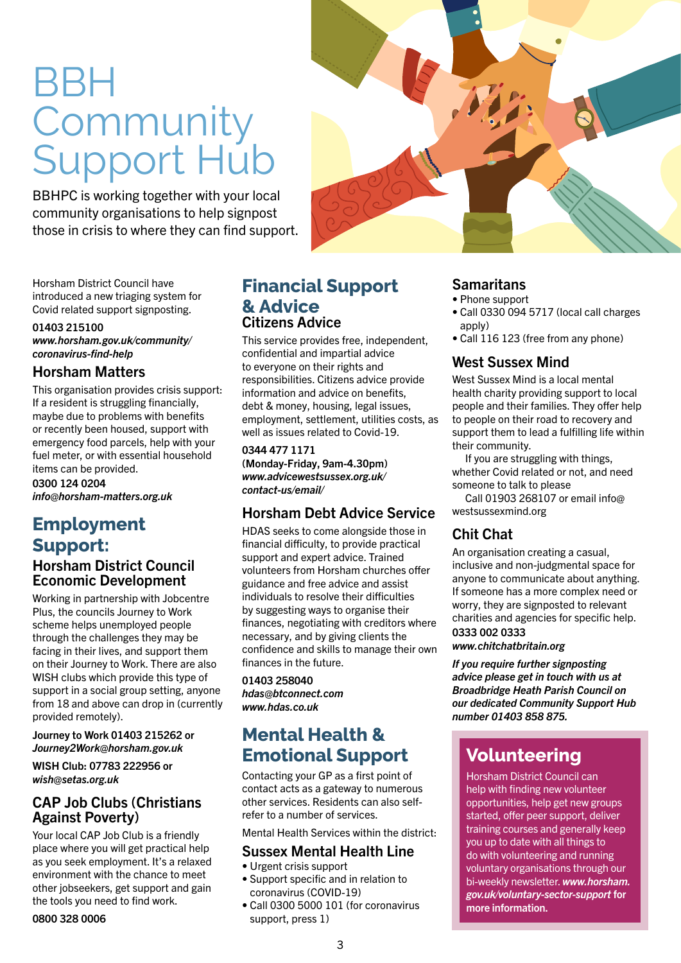## BBH **Community** Support Hub

BBHPC is working together with your local community organisations to help signpost those in crisis to where they can find support.

Horsham District Council have introduced a new triaging system for Covid related support signposting.

### 01403 215100

*www.horsham.gov.uk/community/ coronavirus-find-help*

### Horsham Matters

This organisation provides crisis support: If a resident is struggling financially, maybe due to problems with benefits or recently been housed, support with emergency food parcels, help with your fuel meter, or with essential household items can be provided.

0300 124 0204 *info@horsham-matters.org.uk* 

### **Employment Support:** Horsham District Council Economic Development

Working in partnership with Jobcentre Plus, the councils Journey to Work scheme helps unemployed people through the challenges they may be facing in their lives, and support them on their Journey to Work. There are also WISH clubs which provide this type of support in a social group setting, anyone from 18 and above can drop in (currently provided remotely).

Journey to Work 01403 215262 or *Journey2Work@horsham.gov.uk*

WISH Club: 07783 222956 or *wish@setas.org.uk* 

### CAP Job Clubs (Christians Against Poverty)

Your local CAP Job Club is a friendly place where you will get practical help as you seek employment. It's a relaxed environment with the chance to meet other jobseekers, get support and gain the tools you need to find work.

0800 328 0006

### **Financial Support & Advice**  Citizens Advice

This service provides free, independent, confidential and impartial advice to everyone on their rights and responsibilities. Citizens advice provide information and advice on benefits, debt & money, housing, legal issues, employment, settlement, utilities costs, as well as issues related to Covid-19.

### 0344 477 1171

(Monday-Friday, 9am-4.30pm) *www.advicewestsussex.org.uk/ contact-us/email/*

### Horsham Debt Advice Service

HDAS seeks to come alongside those in financial difficulty, to provide practical support and expert advice. Trained volunteers from Horsham churches offer guidance and free advice and assist individuals to resolve their difficulties by suggesting ways to organise their finances, negotiating with creditors where necessary, and by giving clients the confidence and skills to manage their own finances in the future.

### 01403 258040

*hdas@btconnect.com www.hdas.co.uk*

## **Mental Health & Emotional Support**

Contacting your GP as a first point of contact acts as a gateway to numerous other services. Residents can also selfrefer to a number of services.

Mental Health Services within the district:

### Sussex Mental Health Line

- Urgent crisis support
- Support specific and in relation to coronavirus (COVID-19)
- Call 0300 5000 101 (for coronavirus support, press 1)



### **Samaritans**

- Phone support
- Call 0330 094 5717 (local call charges apply)
- Call 116 123 (free from any phone)

### West Sussex Mind

West Sussex Mind is a local mental health charity providing support to local people and their families. They offer help to people on their road to recovery and support them to lead a fulfilling life within their community.

If you are struggling with things, whether Covid related or not, and need someone to talk to please

Call 01903 268107 or email info@ westsussexmind.org

### Chit Chat

An organisation creating a casual, inclusive and non-judgmental space for anyone to communicate about anything. If someone has a more complex need or worry, they are signposted to relevant charities and agencies for specific help.

0333 002 0333

*www.chitchatbritain.org*

*If you require further signposting advice please get in touch with us at Broadbridge Heath Parish Council on our dedicated Community Support Hub number 01403 858 875.*

## **Volunteering**

Horsham District Council can help with finding new volunteer opportunities, help get new groups started, offer peer support, deliver training courses and generally keep you up to date with all things to do with volunteering and running voluntary organisations through our bi-weekly newsletter. *www.horsham. gov.uk/voluntary-sector-support* for more information.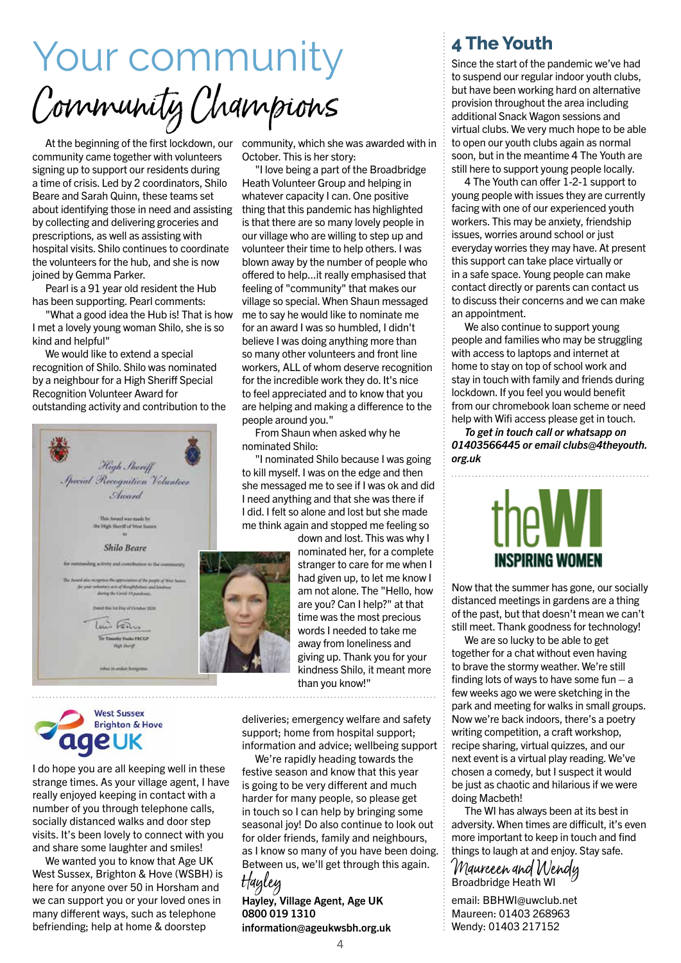Your community Community Champions

At the beginning of the first lockdown, our community, which she was awarded with in community came together with volunteers signing up to support our residents during a time of crisis. Led by 2 coordinators, Shilo Beare and Sarah Quinn, these teams set about identifying those in need and assisting by collecting and delivering groceries and prescriptions, as well as assisting with hospital visits. Shilo continues to coordinate the volunteers for the hub, and she is now joined by Gemma Parker.

Pearl is a 91 year old resident the Hub has been supporting. Pearl comments:

"What a good idea the Hub is! That is how I met a lovely young woman Shilo, she is so kind and helpful"

We would like to extend a special recognition of Shilo. Shilo was nominated by a neighbour for a High Sheriff Special Recognition Volunteer Award for outstanding activity and contribution to the



October. This is her story:

"I love being a part of the Broadbridge Heath Volunteer Group and helping in whatever capacity I can. One positive thing that this pandemic has highlighted is that there are so many lovely people in our village who are willing to step up and volunteer their time to help others. I was blown away by the number of people who offered to help...it really emphasised that feeling of "community" that makes our village so special. When Shaun messaged me to say he would like to nominate me for an award I was so humbled, I didn't believe I was doing anything more than so many other volunteers and front line workers, ALL of whom deserve recognition for the incredible work they do. It's nice to feel appreciated and to know that you are helping and making a difference to the people around you."

From Shaun when asked why he nominated Shilo:

"I nominated Shilo because I was going to kill myself. I was on the edge and then she messaged me to see if I was ok and did I need anything and that she was there if I did. I felt so alone and lost but she made me think again and stopped me feeling so

> down and lost. This was why I nominated her, for a complete stranger to care for me when I had given up, to let me know I am not alone. The "Hello, how are you? Can I help?" at that time was the most precious words I needed to take me away from loneliness and giving up. Thank you for your kindness Shilo, it meant more than you know!"

**West Sussex Brighton & Hove**  $\mathbf{u}$ IE UK

I do hope you are all keeping well in these strange times. As your village agent, I have really enjoyed keeping in contact with a number of you through telephone calls, socially distanced walks and door step visits. It's been lovely to connect with you and share some laughter and smiles!

We wanted you to know that Age UK West Sussex, Brighton & Hove (WSBH) is here for anyone over 50 in Horsham and we can support you or your loved ones in many different ways, such as telephone befriending; help at home & doorstep

deliveries; emergency welfare and safety support; home from hospital support; information and advice; wellbeing support

We're rapidly heading towards the festive season and know that this year is going to be very different and much harder for many people, so please get in touch so I can help by bringing some seasonal joy! Do also continue to look out for older friends, family and neighbours, as I know so many of you have been doing. Between us, we'll get through this again. Hayley

### Hayley, Village Agent, Age UK 0800 019 1310 information@ageukwsbh.org.uk

### **4 The Youth**

Since the start of the pandemic we've had to suspend our regular indoor youth clubs, but have been working hard on alternative provision throughout the area including additional Snack Wagon sessions and virtual clubs. We very much hope to be able to open our youth clubs again as normal soon, but in the meantime 4 The Youth are still here to support young people locally.

4 The Youth can offer 1-2-1 support to young people with issues they are currently facing with one of our experienced youth workers. This may be anxiety, friendship issues, worries around school or just everyday worries they may have. At present this support can take place virtually or in a safe space. Young people can make contact directly or parents can contact us to discuss their concerns and we can make an appointment.

We also continue to support young people and families who may be struggling with access to laptops and internet at home to stay on top of school work and stay in touch with family and friends during lockdown. If you feel you would benefit from our chromebook loan scheme or need help with Wifi access please get in touch.

*To get in touch call or whatsapp on 01403566445 or email clubs@4theyouth. org.uk*



Now that the summer has gone, our socially distanced meetings in gardens are a thing of the past, but that doesn't mean we can't still meet. Thank goodness for technology!

We are so lucky to be able to get together for a chat without even having to brave the stormy weather. We're still finding lots of ways to have some fun  $-$  a few weeks ago we were sketching in the park and meeting for walks in small groups. Now we're back indoors, there's a poetry writing competition, a craft workshop, recipe sharing, virtual quizzes, and our next event is a virtual play reading. We've chosen a comedy, but I suspect it would be just as chaotic and hilarious if we were doing Macbeth!

The WI has always been at its best in adversity. When times are difficult, it's even more important to keep in touch and find things to laugh at and enjoy. Stay safe.

Maureeen and Wendy Broadbridge Heath WI

email: BBHWI@uwclub.net Maureen: 01403 268963 Wendy: 01403 217152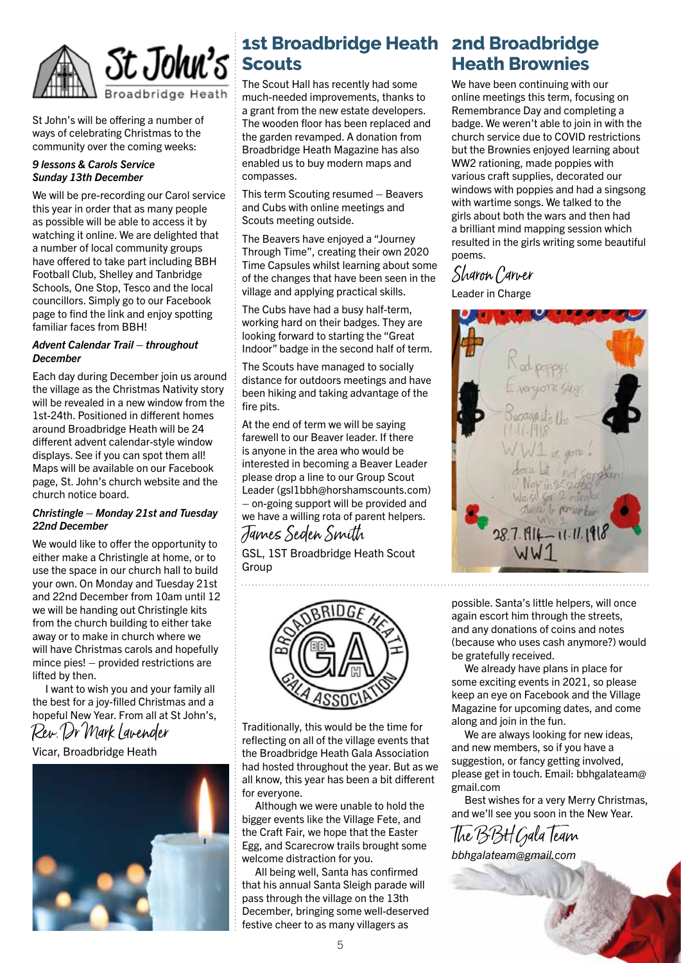

St John's will be offering a number of ways of celebrating Christmas to the community over the coming weeks:

### *9 lessons & Carols Service Sunday 13th December*

We will be pre-recording our Carol service this year in order that as many people as possible will be able to access it by watching it online. We are delighted that a number of local community groups have offered to take part including BBH Football Club, Shelley and Tanbridge Schools, One Stop, Tesco and the local councillors. Simply go to our Facebook page to find the link and enjoy spotting familiar faces from BBH!

### *Advent Calendar Trail – throughout December*

Each day during December join us around the village as the Christmas Nativity story will be revealed in a new window from the 1st-24th. Positioned in different homes around Broadbridge Heath will be 24 different advent calendar-style window displays. See if you can spot them all! Maps will be available on our Facebook page, St. John's church website and the church notice board.

### *Christingle – Monday 21st and Tuesday 22nd December*

We would like to offer the opportunity to either make a Christingle at home, or to use the space in our church hall to build your own. On Monday and Tuesday 21st and 22nd December from 10am until 12 we will be handing out Christingle kits from the church building to either take away or to make in church where we will have Christmas carols and hopefully mince pies! – provided restrictions are lifted by then.

I want to wish you and your family all the best for a joy-filled Christmas and a hopeful New Year. From all at St John's, Rev. Dr Mark Lavender

### Vicar, Broadbridge Heath



## **1st Broadbridge Heath 2nd Broadbridge Scouts**

The Scout Hall has recently had some much-needed improvements, thanks to a grant from the new estate developers. The wooden floor has been replaced and the garden revamped. A donation from Broadbridge Heath Magazine has also enabled us to buy modern maps and compasses.

This term Scouting resumed – Beavers and Cubs with online meetings and Scouts meeting outside.

The Beavers have enjoyed a "Journey Through Time", creating their own 2020 Time Capsules whilst learning about some of the changes that have been seen in the village and applying practical skills.

The Cubs have had a busy half-term, working hard on their badges. They are looking forward to starting the "Great Indoor" badge in the second half of term.

The Scouts have managed to socially distance for outdoors meetings and have been hiking and taking advantage of the fire pits.

At the end of term we will be saying farewell to our Beaver leader. If there is anyone in the area who would be interested in becoming a Beaver Leader please drop a line to our Group Scout Leader (gsl1bbh@horshamscounts.com) – on-going support will be provided and we have a willing rota of parent helpers. James Seden Smith

GSL, 1ST Broadbridge Heath Scout Group



Traditionally, this would be the time for reflecting on all of the village events that the Broadbridge Heath Gala Association had hosted throughout the year. But as we all know, this year has been a bit different for everyone.

Although we were unable to hold the bigger events like the Village Fete, and the Craft Fair, we hope that the Easter Egg, and Scarecrow trails brought some welcome distraction for you.

All being well, Santa has confirmed that his annual Santa Sleigh parade will pass through the village on the 13th December, bringing some well-deserved festive cheer to as many villagers as

## **Heath Brownies**

We have been continuing with our online meetings this term, focusing on Remembrance Day and completing a badge. We weren't able to join in with the church service due to COVID restrictions but the Brownies enjoyed learning about WW2 rationing, made poppies with various craft supplies, decorated our windows with poppies and had a singsong with wartime songs. We talked to the girls about both the wars and then had a brilliant mind mapping session which resulted in the girls writing some beautiful poems.

## Sharon Carver

Leader in Charge



possible. Santa's little helpers, will once again escort him through the streets, and any donations of coins and notes (because who uses cash anymore?) would be gratefully received.

We already have plans in place for some exciting events in 2021, so please keep an eye on Facebook and the Village Magazine for upcoming dates, and come along and join in the fun.

We are always looking for new ideas. and new members, so if you have a suggestion, or fancy getting involved, please get in touch. Email: bbhgalateam@ gmail.com

Best wishes for a very Merry Christmas, and we'll see you soon in the New Year.

The BBH Gala Team *bbhgalateam@gmail.com*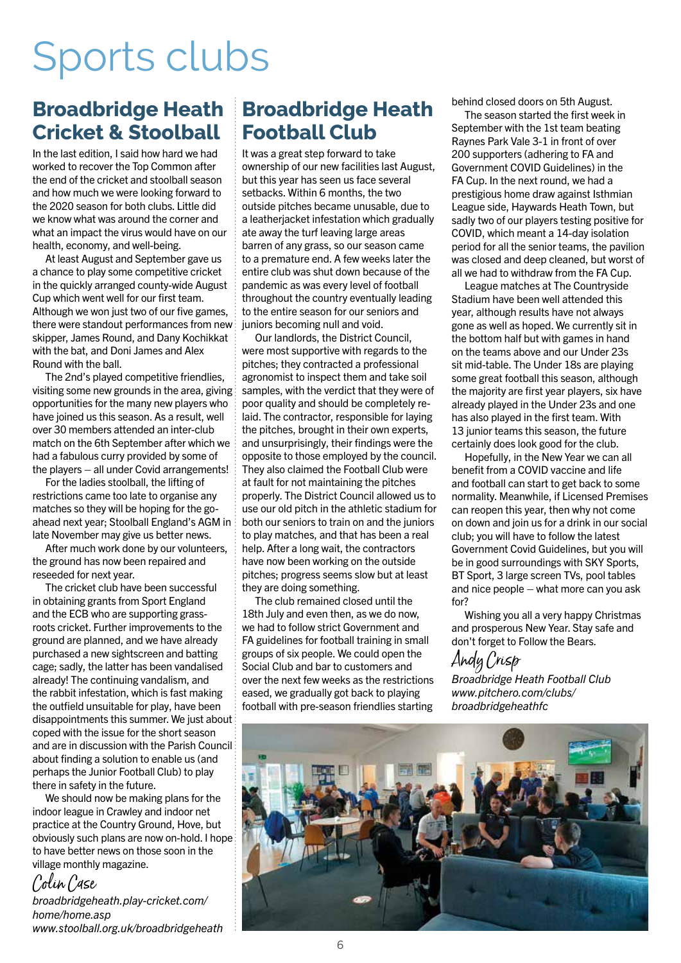## Sports clubs

## **Broadbridge Heath Broadbridge Heath Cricket & Stoolball**

In the last edition, I said how hard we had worked to recover the Top Common after the end of the cricket and stoolball season and how much we were looking forward to the 2020 season for both clubs. Little did we know what was around the corner and what an impact the virus would have on our health, economy, and well-being.

At least August and September gave us a chance to play some competitive cricket in the quickly arranged county-wide August Cup which went well for our first team. Although we won just two of our five games. there were standout performances from new skipper, James Round, and Dany Kochikkat with the bat, and Doni James and Alex Round with the ball.

The 2nd's played competitive friendlies, visiting some new grounds in the area, giving opportunities for the many new players who have joined us this season. As a result, well over 30 members attended an inter-club match on the 6th September after which we had a fabulous curry provided by some of the players – all under Covid arrangements!

For the ladies stoolball, the lifting of restrictions came too late to organise any matches so they will be hoping for the goahead next year; Stoolball England's AGM in late November may give us better news.

After much work done by our volunteers, the ground has now been repaired and reseeded for next year.

The cricket club have been successful in obtaining grants from Sport England and the ECB who are supporting grassroots cricket. Further improvements to the ground are planned, and we have already purchased a new sightscreen and batting cage; sadly, the latter has been vandalised already! The continuing vandalism, and the rabbit infestation, which is fast making the outfield unsuitable for play, have been disappointments this summer. We just about coped with the issue for the short season and are in discussion with the Parish Council about finding a solution to enable us (and perhaps the Junior Football Club) to play there in safety in the future.

We should now be making plans for the indoor league in Crawley and indoor net practice at the Country Ground, Hove, but obviously such plans are now on-hold. I hope to have better news on those soon in the village monthly magazine.

## Colin Case

*broadbridgeheath.play-cricket.com/ home/home.asp www.stoolball.org.uk/broadbridgeheath*

## **Football Club**

It was a great step forward to take ownership of our new facilities last August, but this year has seen us face several setbacks. Within 6 months, the two outside pitches became unusable, due to a leatherjacket infestation which gradually ate away the turf leaving large areas barren of any grass, so our season came to a premature end. A few weeks later the entire club was shut down because of the pandemic as was every level of football throughout the country eventually leading to the entire season for our seniors and juniors becoming null and void.

Our landlords, the District Council, were most supportive with regards to the pitches; they contracted a professional agronomist to inspect them and take soil samples, with the verdict that they were of poor quality and should be completely relaid. The contractor, responsible for laying the pitches, brought in their own experts, and unsurprisingly, their findings were the opposite to those employed by the council. They also claimed the Football Club were at fault for not maintaining the pitches properly. The District Council allowed us to use our old pitch in the athletic stadium for both our seniors to train on and the juniors to play matches, and that has been a real help. After a long wait, the contractors have now been working on the outside pitches; progress seems slow but at least they are doing something.

The club remained closed until the 18th July and even then, as we do now, we had to follow strict Government and FA guidelines for football training in small groups of six people. We could open the Social Club and bar to customers and over the next few weeks as the restrictions eased, we gradually got back to playing football with pre-season friendlies starting

behind closed doors on 5th August.

The season started the first week in September with the 1st team beating Raynes Park Vale 3-1 in front of over 200 supporters (adhering to FA and Government COVID Guidelines) in the FA Cup. In the next round, we had a prestigious home draw against Isthmian League side, Haywards Heath Town, but sadly two of our players testing positive for COVID, which meant a 14-day isolation period for all the senior teams, the pavilion was closed and deep cleaned, but worst of all we had to withdraw from the FA Cup.

League matches at The Countryside Stadium have been well attended this year, although results have not always gone as well as hoped. We currently sit in the bottom half but with games in hand on the teams above and our Under 23s sit mid-table. The Under 18s are playing some great football this season, although the majority are first year players, six have already played in the Under 23s and one has also played in the first team. With 13 junior teams this season, the future certainly does look good for the club.

Hopefully, in the New Year we can all benefit from a COVID vaccine and life and football can start to get back to some normality. Meanwhile, if Licensed Premises can reopen this year, then why not come on down and join us for a drink in our social club; you will have to follow the latest Government Covid Guidelines, but you will be in good surroundings with SKY Sports, BT Sport, 3 large screen TVs, pool tables and nice people – what more can you ask  $for 2$ 

Wishing you all a very happy Christmas and prosperous New Year. Stay safe and don't forget to Follow the Bears.

## Andy Crisp

*Broadbridge Heath Football Club www.pitchero.com/clubs/ broadbridgeheathfc*

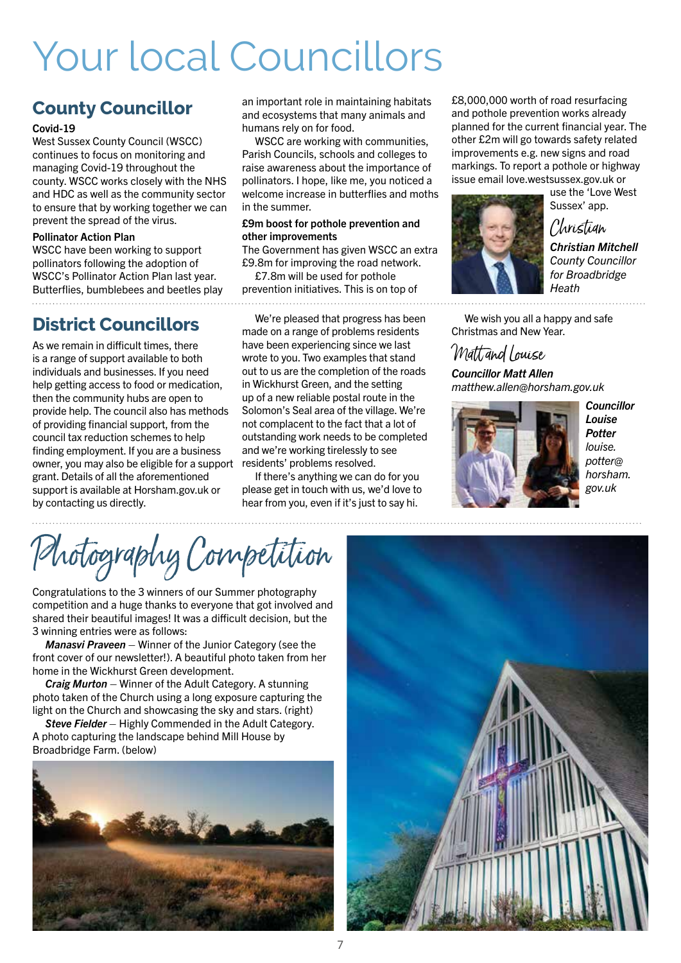## Your local Councillors

## **County Councillor**

### Covid-19

West Sussex County Council (WSCC) continues to focus on monitoring and managing Covid-19 throughout the county. WSCC works closely with the NHS and HDC as well as the community sector to ensure that by working together we can prevent the spread of the virus.

#### Pollinator Action Plan

WSCC have been working to support pollinators following the adoption of WSCC's Pollinator Action Plan last year. Butterflies, bumblebees and beetles play 

## **District Councillors**

As we remain in difficult times, there is a range of support available to both individuals and businesses. If you need help getting access to food or medication, then the community hubs are open to provide help. The council also has methods of providing financial support, from the council tax reduction schemes to help finding employment. If you are a business owner, you may also be eligible for a support grant. Details of all the aforementioned support is available at Horsham.gov.uk or by contacting us directly.

an important role in maintaining habitats and ecosystems that many animals and humans rely on for food.

WSCC are working with communities, Parish Councils, schools and colleges to raise awareness about the importance of pollinators. I hope, like me, you noticed a welcome increase in butterflies and moths in the summer.

#### £9m boost for pothole prevention and other improvements

The Government has given WSCC an extra £9.8m for improving the road network.

£7.8m will be used for pothole prevention initiatives. This is on top of 

We're pleased that progress has been made on a range of problems residents have been experiencing since we last wrote to you. Two examples that stand out to us are the completion of the roads in Wickhurst Green, and the setting up of a new reliable postal route in the Solomon's Seal area of the village. We're not complacent to the fact that a lot of outstanding work needs to be completed and we're working tirelessly to see residents' problems resolved.

If there's anything we can do for you please get in touch with us, we'd love to hear from you, even if it's just to say hi.

£8,000,000 worth of road resurfacing and pothole prevention works already planned for the current financial year. The other £2m will go towards safety related improvements e.g. new signs and road markings. To report a pothole or highway issue email love.westsussex.gov.uk or



use the 'Love West Sussex' app.

Christian

*Christian Mitchell County Councillor for Broadbridge Heath*

We wish you all a happy and safe Christmas and New Year.

## Matt and Louise

*Councillor Matt Allen matthew.allen@horsham.gov.uk*



*Councillor Louise Potter louise. potter@ horsham. gov.uk*

Photography Competition

Congratulations to the 3 winners of our Summer photography competition and a huge thanks to everyone that got involved and shared their beautiful images! It was a difficult decision, but the 3 winning entries were as follows:

*Manasvi Praveen* – Winner of the Junior Category (see the front cover of our newsletter!). A beautiful photo taken from her home in the Wickhurst Green development.

*Craig Murton* – Winner of the Adult Category. A stunning photo taken of the Church using a long exposure capturing the light on the Church and showcasing the sky and stars. (right)

**Steve Fielder** – Highly Commended in the Adult Category. A photo capturing the landscape behind Mill House by Broadbridge Farm. (below)